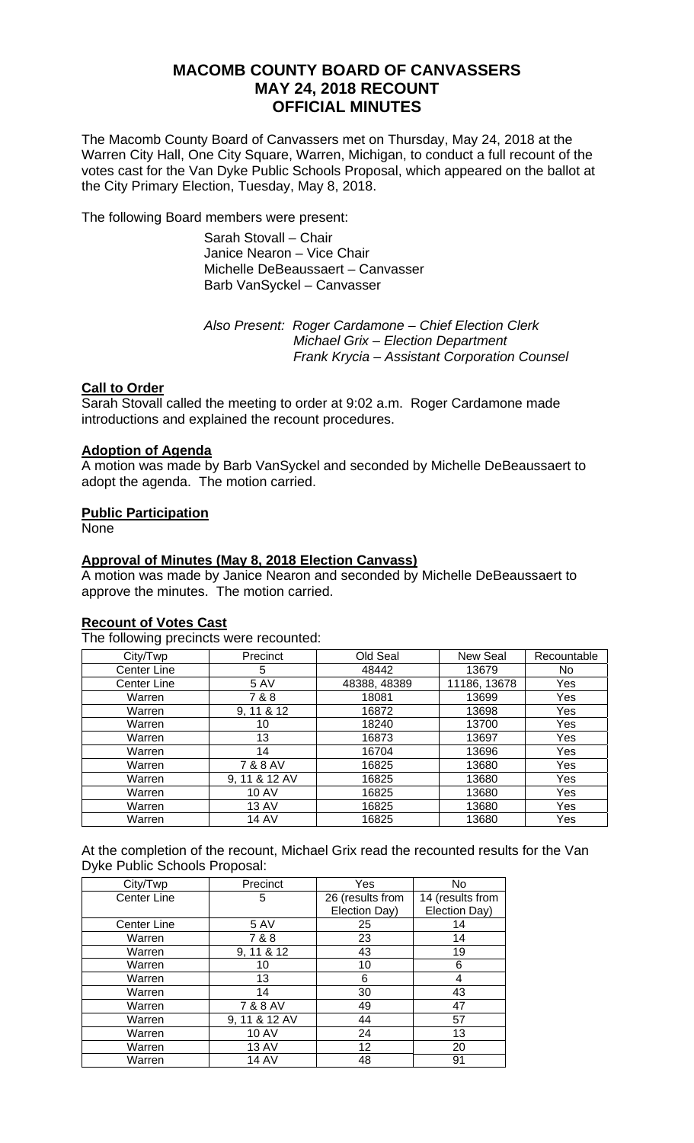# **MACOMB COUNTY BOARD OF CANVASSERS MAY 24, 2018 RECOUNT OFFICIAL MINUTES**

The Macomb County Board of Canvassers met on Thursday, May 24, 2018 at the Warren City Hall, One City Square, Warren, Michigan, to conduct a full recount of the votes cast for the Van Dyke Public Schools Proposal, which appeared on the ballot at the City Primary Election, Tuesday, May 8, 2018.

The following Board members were present:

Sarah Stovall – Chair Janice Nearon – Vice Chair Michelle DeBeaussaert – Canvasser Barb VanSyckel – Canvasser

 *Also Present: Roger Cardamone – Chief Election Clerk Michael Grix – Election Department Frank Krycia – Assistant Corporation Counsel* 

## **Call to Order**

Sarah Stovall called the meeting to order at 9:02 a.m. Roger Cardamone made introductions and explained the recount procedures.

## **Adoption of Agenda**

A motion was made by Barb VanSyckel and seconded by Michelle DeBeaussaert to adopt the agenda. The motion carried.

## **Public Participation**

**None** 

## **Approval of Minutes (May 8, 2018 Election Canvass)**

A motion was made by Janice Nearon and seconded by Michelle DeBeaussaert to approve the minutes. The motion carried.

## **Recount of Votes Cast**

The following precincts were recounted:

| City/Twp    | Precinct      | Old Seal     | New Seal     | Recountable |
|-------------|---------------|--------------|--------------|-------------|
| Center Line | 5             | 48442        | 13679        | No.         |
| Center Line | 5 AV          | 48388, 48389 | 11186, 13678 | Yes         |
| Warren      | 7 & 8         | 18081        | 13699        | Yes         |
| Warren      | 9, 11 & 12    | 16872        | 13698        | Yes         |
| Warren      | 10            | 18240        | 13700        | Yes         |
| Warren      | 13            | 16873        | 13697        | Yes         |
| Warren      | 14            | 16704        | 13696        | Yes         |
| Warren      | 7 & 8 AV      | 16825        | 13680        | Yes         |
| Warren      | 9, 11 & 12 AV | 16825        | 13680        | Yes         |
| Warren      | <b>10 AV</b>  | 16825        | 13680        | Yes         |
| Warren      | <b>13 AV</b>  | 16825        | 13680        | Yes         |
| Warren      | <b>14 AV</b>  | 16825        | 13680        | Yes         |

At the completion of the recount, Michael Grix read the recounted results for the Van Dyke Public Schools Proposal:

| City/Twp           | Precinct      | Yes              | No               |
|--------------------|---------------|------------------|------------------|
| <b>Center Line</b> | 5             | 26 (results from | 14 (results from |
|                    |               | Election Day)    | Election Day)    |
| <b>Center Line</b> | <b>5 AV</b>   | 25               | 14               |
| Warren             | 7 & 8         | 23               | 14               |
| Warren             | 9, 11 & 12    | 43               | 19               |
| Warren             | 10            | 10               | 6                |
| Warren             | 13            | 6                | 4                |
| Warren             | 14            | 30               | 43               |
| Warren             | 7 & 8 AV      | 49               | 47               |
| Warren             | 9, 11 & 12 AV | 44               | 57               |
| Warren             | <b>10 AV</b>  | 24               | 13               |
| Warren             | <b>13 AV</b>  | 12               | 20               |
| Warren             | 14 AV         | 48               | 91               |